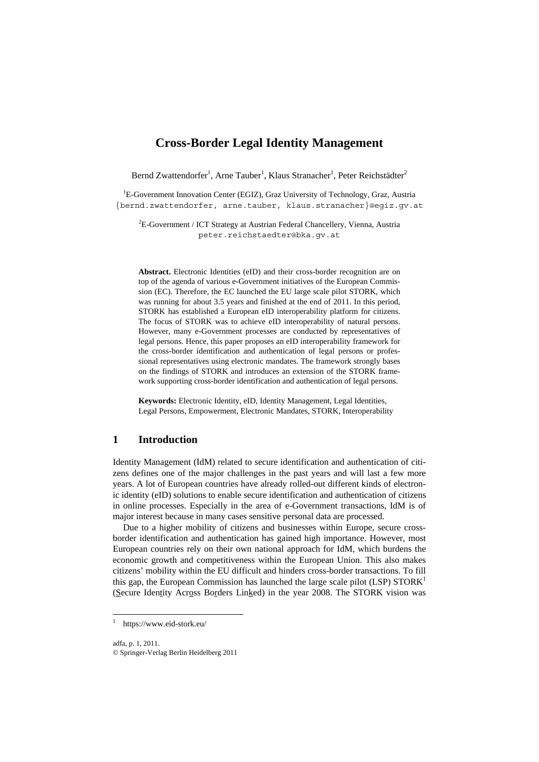# **Cross-Border Legal Identity Management**

Bernd Zwattendorfer<sup>1</sup>, Arne Tauber<sup>1</sup>, Klaus Stranacher<sup>1</sup>, Peter Reichstädter<sup>2</sup>

<sup>1</sup>E-Government Innovation Center (EGIZ), Graz University of Technology, Graz, Austria {bernd.zwattendorfer, arne.tauber, klaus.stranacher}@egiz.gv.at

 ${}^{2}E$ -Government / ICT Strategy at Austrian Federal Chancellery, Vienna, Austria peter.reichstaedter@bka.gv.at

**Abstract.** Electronic Identities (eID) and their cross-border recognition are on top of the agenda of various e-Government initiatives of the European Commission (EC). Therefore, the EC launched the EU large scale pilot STORK, which was running for about 3.5 years and finished at the end of 2011. In this period, STORK has established a European eID interoperability platform for citizens. The focus of STORK was to achieve eID interoperability of natural persons. However, many e-Government processes are conducted by representatives of legal persons. Hence, this paper proposes an eID interoperability framework for the cross-border identification and authentication of legal persons or professional representatives using electronic mandates. The framework strongly bases on the findings of STORK and introduces an extension of the STORK framework supporting cross-border identification and authentication of legal persons.

**Keywords:** Electronic Identity, eID, Identity Management, Legal Identities, Legal Persons, Empowerment, Electronic Mandates, STORK, Interoperability

### **1 Introduction**

Identity Management (IdM) related to secure identification and authentication of citizens defines one of the major challenges in the past years and will last a few more years. A lot of European countries have already rolled-out different kinds of electronic identity (eID) solutions to enable secure identification and authentication of citizens in online processes. Especially in the area of e-Government transactions, IdM is of major interest because in many cases sensitive personal data are processed.

Due to a higher mobility of citizens and businesses within Europe, secure crossborder identification and authentication has gained high importance. However, most European countries rely on their own national approach for IdM, which burdens the economic growth and competitiveness within the European Union. This also makes citizens' mobility within the EU difficult and hinders cross-border transactions. To fill this gap, the European Commission has launched the large scale pilot (LSP)  $STORK<sup>1</sup>$ (Secure Identity Across Borders Linked) in the year 2008. The STORK vision was

adfa, p. 1, 2011.

<sup>1</sup> https://www.eid-stork.eu/

<sup>©</sup> Springer-Verlag Berlin Heidelberg 2011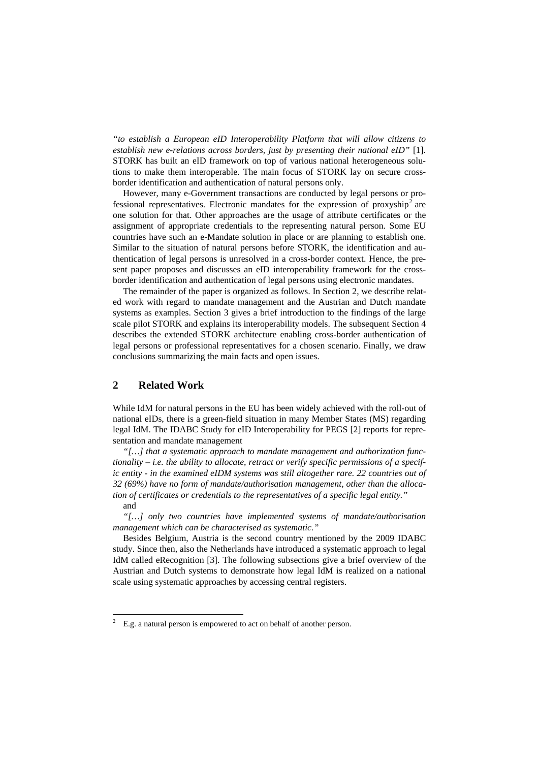*"to establish a European eID Interoperability Platform that will allow citizens to establish new e-relations across borders, just by presenting their national eID"* [1]. STORK has built an eID framework on top of various national heterogeneous solutions to make them interoperable. The main focus of STORK lay on secure crossborder identification and authentication of natural persons only.

However, many e-Government transactions are conducted by legal persons or professional representatives. Electronic mandates for the expression of proxyship<sup>2</sup> are one solution for that. Other approaches are the usage of attribute certificates or the assignment of appropriate credentials to the representing natural person. Some EU countries have such an e-Mandate solution in place or are planning to establish one. Similar to the situation of natural persons before STORK, the identification and authentication of legal persons is unresolved in a cross-border context. Hence, the present paper proposes and discusses an eID interoperability framework for the crossborder identification and authentication of legal persons using electronic mandates.

The remainder of the paper is organized as follows. In Section 2, we describe related work with regard to mandate management and the Austrian and Dutch mandate systems as examples. Section 3 gives a brief introduction to the findings of the large scale pilot STORK and explains its interoperability models. The subsequent Section 4 describes the extended STORK architecture enabling cross-border authentication of legal persons or professional representatives for a chosen scenario. Finally, we draw conclusions summarizing the main facts and open issues.

## **2 Related Work**

While IdM for natural persons in the EU has been widely achieved with the roll-out of national eIDs, there is a green-field situation in many Member States (MS) regarding legal IdM. The IDABC Study for eID Interoperability for PEGS [2] reports for representation and mandate management

*"[…] that a systematic approach to mandate management and authorization functionality – i.e. the ability to allocate, retract or verify specific permissions of a specific entity - in the examined eIDM systems was still altogether rare. 22 countries out of 32 (69%) have no form of mandate/authorisation management, other than the allocation of certificates or credentials to the representatives of a specific legal entity."* 

and

*"[…] only two countries have implemented systems of mandate/authorisation management which can be characterised as systematic."* 

Besides Belgium, Austria is the second country mentioned by the 2009 IDABC study. Since then, also the Netherlands have introduced a systematic approach to legal IdM called eRecognition [3]. The following subsections give a brief overview of the Austrian and Dutch systems to demonstrate how legal IdM is realized on a national scale using systematic approaches by accessing central registers.

<sup>&</sup>lt;sup>2</sup> E.g. a natural person is empowered to act on behalf of another person.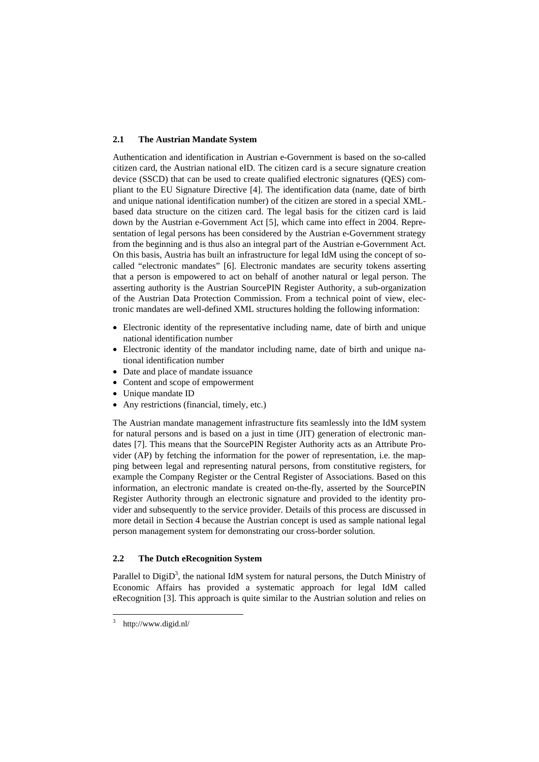#### **2.1 The Austrian Mandate System**

Authentication and identification in Austrian e-Government is based on the so-called citizen card, the Austrian national eID. The citizen card is a secure signature creation device (SSCD) that can be used to create qualified electronic signatures (QES) compliant to the EU Signature Directive [4]. The identification data (name, date of birth and unique national identification number) of the citizen are stored in a special XMLbased data structure on the citizen card. The legal basis for the citizen card is laid down by the Austrian e-Government Act [5], which came into effect in 2004. Representation of legal persons has been considered by the Austrian e-Government strategy from the beginning and is thus also an integral part of the Austrian e-Government Act. On this basis, Austria has built an infrastructure for legal IdM using the concept of socalled "electronic mandates" [6]. Electronic mandates are security tokens asserting that a person is empowered to act on behalf of another natural or legal person. The asserting authority is the Austrian SourcePIN Register Authority, a sub-organization of the Austrian Data Protection Commission. From a technical point of view, electronic mandates are well-defined XML structures holding the following information:

- Electronic identity of the representative including name, date of birth and unique national identification number
- Electronic identity of the mandator including name, date of birth and unique national identification number
- Date and place of mandate issuance
- Content and scope of empowerment
- Unique mandate ID
- Any restrictions (financial, timely, etc.)

The Austrian mandate management infrastructure fits seamlessly into the IdM system for natural persons and is based on a just in time (JIT) generation of electronic mandates [7]. This means that the SourcePIN Register Authority acts as an Attribute Provider (AP) by fetching the information for the power of representation, i.e. the mapping between legal and representing natural persons, from constitutive registers, for example the Company Register or the Central Register of Associations. Based on this information, an electronic mandate is created on-the-fly, asserted by the SourcePIN Register Authority through an electronic signature and provided to the identity provider and subsequently to the service provider. Details of this process are discussed in more detail in Section 4 because the Austrian concept is used as sample national legal person management system for demonstrating our cross-border solution.

#### **2.2 The Dutch eRecognition System**

Parallel to Digi $D<sup>3</sup>$ , the national IdM system for natural persons, the Dutch Ministry of Economic Affairs has provided a systematic approach for legal IdM called eRecognition [3]. This approach is quite similar to the Austrian solution and relies on

<sup>3</sup> http://www.digid.nl/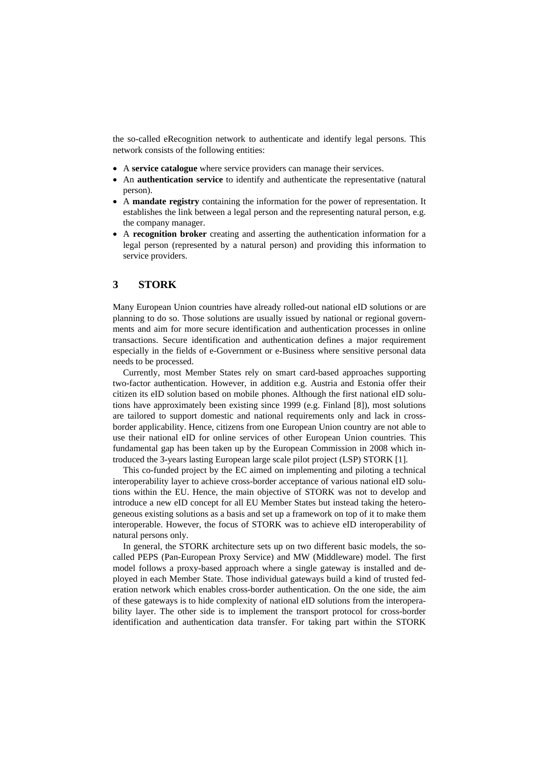the so-called eRecognition network to authenticate and identify legal persons. This network consists of the following entities:

- A **service catalogue** where service providers can manage their services.
- An **authentication service** to identify and authenticate the representative (natural person).
- A **mandate registry** containing the information for the power of representation. It establishes the link between a legal person and the representing natural person, e.g. the company manager.
- A **recognition broker** creating and asserting the authentication information for a legal person (represented by a natural person) and providing this information to service providers.

### **3 STORK**

Many European Union countries have already rolled-out national eID solutions or are planning to do so. Those solutions are usually issued by national or regional governments and aim for more secure identification and authentication processes in online transactions. Secure identification and authentication defines a major requirement especially in the fields of e-Government or e-Business where sensitive personal data needs to be processed.

Currently, most Member States rely on smart card-based approaches supporting two-factor authentication. However, in addition e.g. Austria and Estonia offer their citizen its eID solution based on mobile phones. Although the first national eID solutions have approximately been existing since 1999 (e.g. Finland [8]), most solutions are tailored to support domestic and national requirements only and lack in crossborder applicability. Hence, citizens from one European Union country are not able to use their national eID for online services of other European Union countries. This fundamental gap has been taken up by the European Commission in 2008 which introduced the 3-years lasting European large scale pilot project (LSP) STORK [1].

This co-funded project by the EC aimed on implementing and piloting a technical interoperability layer to achieve cross-border acceptance of various national eID solutions within the EU. Hence, the main objective of STORK was not to develop and introduce a new eID concept for all EU Member States but instead taking the heterogeneous existing solutions as a basis and set up a framework on top of it to make them interoperable. However, the focus of STORK was to achieve eID interoperability of natural persons only.

In general, the STORK architecture sets up on two different basic models, the socalled PEPS (Pan-European Proxy Service) and MW (Middleware) model. The first model follows a proxy-based approach where a single gateway is installed and deployed in each Member State. Those individual gateways build a kind of trusted federation network which enables cross-border authentication. On the one side, the aim of these gateways is to hide complexity of national eID solutions from the interoperability layer. The other side is to implement the transport protocol for cross-border identification and authentication data transfer. For taking part within the STORK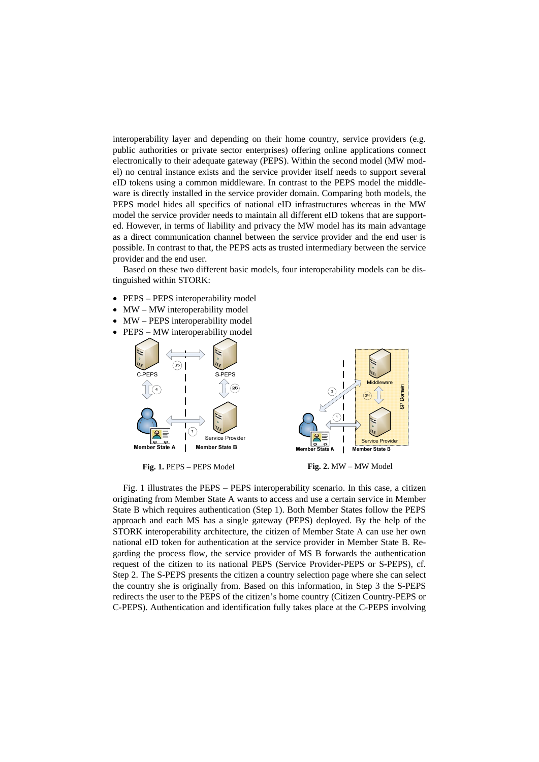interoperability layer and depending on their home country, service providers (e.g. public authorities or private sector enterprises) offering online applications connect electronically to their adequate gateway (PEPS). Within the second model (MW model) no central instance exists and the service provider itself needs to support several eID tokens using a common middleware. In contrast to the PEPS model the middleware is directly installed in the service provider domain. Comparing both models, the PEPS model hides all specifics of national eID infrastructures whereas in the MW model the service provider needs to maintain all different eID tokens that are supported. However, in terms of liability and privacy the MW model has its main advantage as a direct communication channel between the service provider and the end user is possible. In contrast to that, the PEPS acts as trusted intermediary between the service provider and the end user.

Based on these two different basic models, four interoperability models can be distinguished within STORK:

- PEPS PEPS interoperability model
- MW MW interoperability model
- MW PEPS interoperability model
- PEPS MW interoperability model



Fig. 1 illustrates the PEPS – PEPS interoperability scenario. In this case, a citizen originating from Member State A wants to access and use a certain service in Member State B which requires authentication (Step 1). Both Member States follow the PEPS approach and each MS has a single gateway (PEPS) deployed. By the help of the STORK interoperability architecture, the citizen of Member State A can use her own national eID token for authentication at the service provider in Member State B. Regarding the process flow, the service provider of MS B forwards the authentication request of the citizen to its national PEPS (Service Provider-PEPS or S-PEPS), cf. Step 2. The S-PEPS presents the citizen a country selection page where she can select the country she is originally from. Based on this information, in Step 3 the S-PEPS redirects the user to the PEPS of the citizen's home country (Citizen Country-PEPS or C-PEPS). Authentication and identification fully takes place at the C-PEPS involving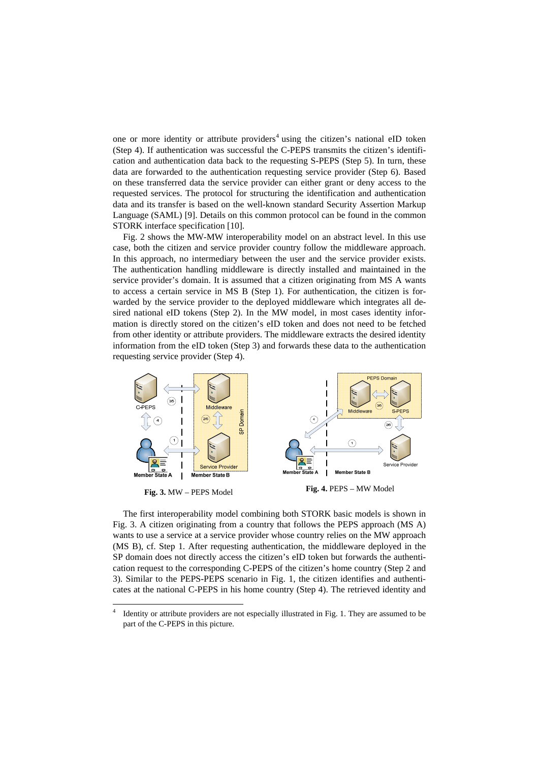one or more identity or attribute providers<sup>4</sup> using the citizen's national eID token (Step 4). If authentication was successful the C-PEPS transmits the citizen's identification and authentication data back to the requesting S-PEPS (Step 5). In turn, these data are forwarded to the authentication requesting service provider (Step 6). Based on these transferred data the service provider can either grant or deny access to the requested services. The protocol for structuring the identification and authentication data and its transfer is based on the well-known standard Security Assertion Markup Language (SAML) [9]. Details on this common protocol can be found in the common STORK interface specification [10].

Fig. 2 shows the MW-MW interoperability model on an abstract level. In this use case, both the citizen and service provider country follow the middleware approach. In this approach, no intermediary between the user and the service provider exists. The authentication handling middleware is directly installed and maintained in the service provider's domain. It is assumed that a citizen originating from MS A wants to access a certain service in MS B (Step 1). For authentication, the citizen is forwarded by the service provider to the deployed middleware which integrates all desired national eID tokens (Step 2). In the MW model, in most cases identity information is directly stored on the citizen's eID token and does not need to be fetched from other identity or attribute providers. The middleware extracts the desired identity information from the eID token (Step 3) and forwards these data to the authentication requesting service provider (Step 4).



The first interoperability model combining both STORK basic models is shown in Fig. 3. A citizen originating from a country that follows the PEPS approach (MS A) wants to use a service at a service provider whose country relies on the MW approach (MS B), cf. Step 1. After requesting authentication, the middleware deployed in the SP domain does not directly access the citizen's eID token but forwards the authentication request to the corresponding C-PEPS of the citizen's home country (Step 2 and 3). Similar to the PEPS-PEPS scenario in Fig. 1, the citizen identifies and authenticates at the national C-PEPS in his home country (Step 4). The retrieved identity and

 4 Identity or attribute providers are not especially illustrated in Fig. 1. They are assumed to be part of the C-PEPS in this picture.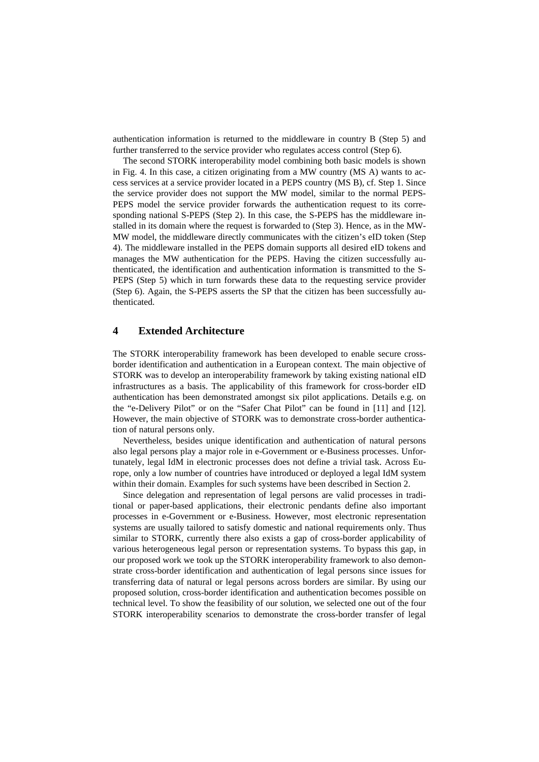authentication information is returned to the middleware in country B (Step 5) and further transferred to the service provider who regulates access control (Step 6).

The second STORK interoperability model combining both basic models is shown in Fig. 4. In this case, a citizen originating from a MW country (MS A) wants to access services at a service provider located in a PEPS country (MS B), cf. Step 1. Since the service provider does not support the MW model, similar to the normal PEPS-PEPS model the service provider forwards the authentication request to its corresponding national S-PEPS (Step 2). In this case, the S-PEPS has the middleware installed in its domain where the request is forwarded to (Step 3). Hence, as in the MW-MW model, the middleware directly communicates with the citizen's eID token (Step 4). The middleware installed in the PEPS domain supports all desired eID tokens and manages the MW authentication for the PEPS. Having the citizen successfully authenticated, the identification and authentication information is transmitted to the S-PEPS (Step 5) which in turn forwards these data to the requesting service provider (Step 6). Again, the S-PEPS asserts the SP that the citizen has been successfully authenticated.

#### **4 Extended Architecture**

The STORK interoperability framework has been developed to enable secure crossborder identification and authentication in a European context. The main objective of STORK was to develop an interoperability framework by taking existing national eID infrastructures as a basis. The applicability of this framework for cross-border eID authentication has been demonstrated amongst six pilot applications. Details e.g. on the "e-Delivery Pilot" or on the "Safer Chat Pilot" can be found in [11] and [12]. However, the main objective of STORK was to demonstrate cross-border authentication of natural persons only.

Nevertheless, besides unique identification and authentication of natural persons also legal persons play a major role in e-Government or e-Business processes. Unfortunately, legal IdM in electronic processes does not define a trivial task. Across Europe, only a low number of countries have introduced or deployed a legal IdM system within their domain. Examples for such systems have been described in Section 2.

Since delegation and representation of legal persons are valid processes in traditional or paper-based applications, their electronic pendants define also important processes in e-Government or e-Business. However, most electronic representation systems are usually tailored to satisfy domestic and national requirements only. Thus similar to STORK, currently there also exists a gap of cross-border applicability of various heterogeneous legal person or representation systems. To bypass this gap, in our proposed work we took up the STORK interoperability framework to also demonstrate cross-border identification and authentication of legal persons since issues for transferring data of natural or legal persons across borders are similar. By using our proposed solution, cross-border identification and authentication becomes possible on technical level. To show the feasibility of our solution, we selected one out of the four STORK interoperability scenarios to demonstrate the cross-border transfer of legal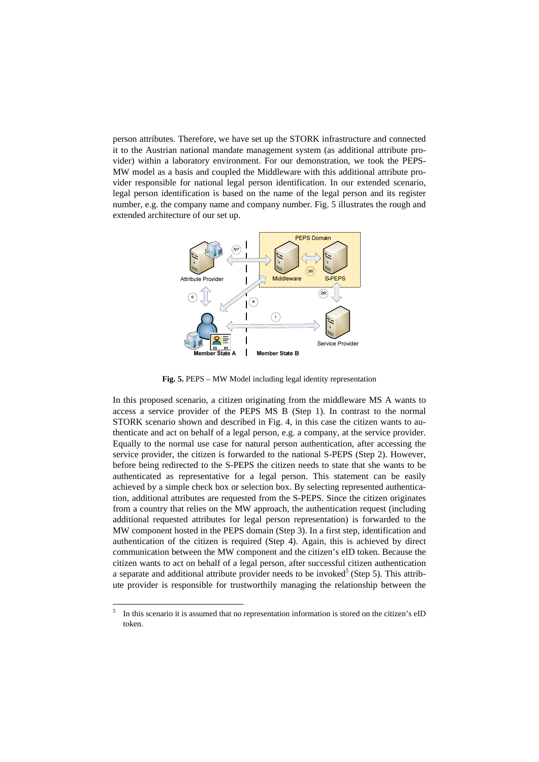person attributes. Therefore, we have set up the STORK infrastructure and connected it to the Austrian national mandate management system (as additional attribute provider) within a laboratory environment. For our demonstration, we took the PEPS-MW model as a basis and coupled the Middleware with this additional attribute provider responsible for national legal person identification. In our extended scenario, legal person identification is based on the name of the legal person and its register number, e.g. the company name and company number. Fig. 5 illustrates the rough and extended architecture of our set up.



**Fig. 5.** PEPS – MW Model including legal identity representation

In this proposed scenario, a citizen originating from the middleware MS A wants to access a service provider of the PEPS MS B (Step 1). In contrast to the normal STORK scenario shown and described in Fig. 4, in this case the citizen wants to authenticate and act on behalf of a legal person, e.g. a company, at the service provider. Equally to the normal use case for natural person authentication, after accessing the service provider, the citizen is forwarded to the national S-PEPS (Step 2). However, before being redirected to the S-PEPS the citizen needs to state that she wants to be authenticated as representative for a legal person. This statement can be easily achieved by a simple check box or selection box. By selecting represented authentication, additional attributes are requested from the S-PEPS. Since the citizen originates from a country that relies on the MW approach, the authentication request (including additional requested attributes for legal person representation) is forwarded to the MW component hosted in the PEPS domain (Step 3). In a first step, identification and authentication of the citizen is required (Step 4). Again, this is achieved by direct communication between the MW component and the citizen's eID token. Because the citizen wants to act on behalf of a legal person, after successful citizen authentication a separate and additional attribute provider needs to be invoked<sup>5</sup> (Step 5). This attribute provider is responsible for trustworthily managing the relationship between the

 5 In this scenario it is assumed that no representation information is stored on the citizen's eID token.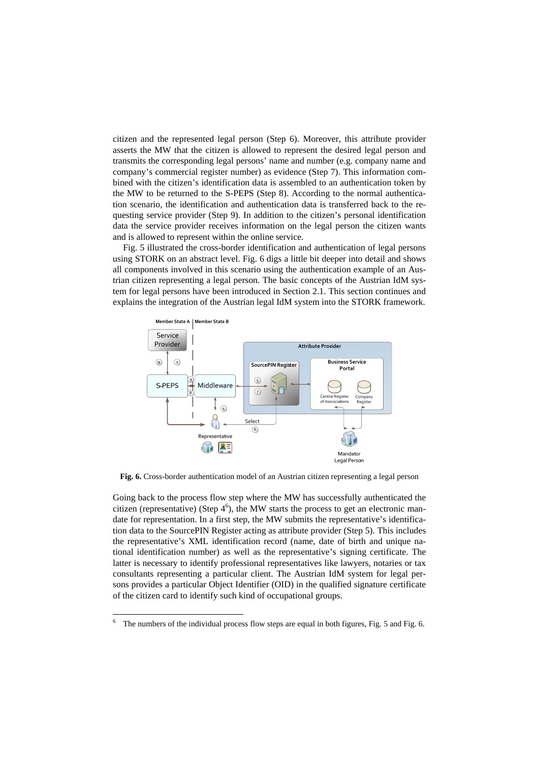citizen and the represented legal person (Step 6). Moreover, this attribute provider asserts the MW that the citizen is allowed to represent the desired legal person and transmits the corresponding legal persons' name and number (e.g. company name and company's commercial register number) as evidence (Step 7). This information combined with the citizen's identification data is assembled to an authentication token by the MW to be returned to the S-PEPS (Step 8). According to the normal authentication scenario, the identification and authentication data is transferred back to the requesting service provider (Step 9). In addition to the citizen's personal identification data the service provider receives information on the legal person the citizen wants and is allowed to represent within the online service.

Fig. 5 illustrated the cross-border identification and authentication of legal persons using STORK on an abstract level. Fig. 6 digs a little bit deeper into detail and shows all components involved in this scenario using the authentication example of an Austrian citizen representing a legal person. The basic concepts of the Austrian IdM system for legal persons have been introduced in Section 2.1. This section continues and explains the integration of the Austrian legal IdM system into the STORK framework.



**Fig. 6.** Cross-border authentication model of an Austrian citizen representing a legal person

Going back to the process flow step where the MW has successfully authenticated the citizen (representative) (Step  $4^6$ ), the MW starts the process to get an electronic mandate for representation. In a first step, the MW submits the representative's identification data to the SourcePIN Register acting as attribute provider (Step 5). This includes the representative's XML identification record (name, date of birth and unique national identification number) as well as the representative's signing certificate. The latter is necessary to identify professional representatives like lawyers, notaries or tax consultants representing a particular client. The Austrian IdM system for legal persons provides a particular Object Identifier (OID) in the qualified signature certificate of the citizen card to identify such kind of occupational groups.

<sup>6</sup> The numbers of the individual process flow steps are equal in both figures, Fig. 5 and Fig. 6.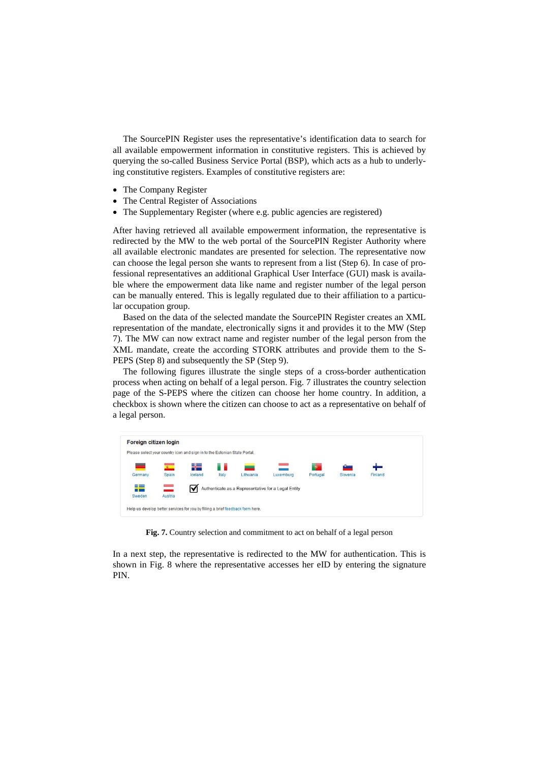The SourcePIN Register uses the representative's identification data to search for all available empowerment information in constitutive registers. This is achieved by querying the so-called Business Service Portal (BSP), which acts as a hub to underlying constitutive registers. Examples of constitutive registers are:

- The Company Register
- The Central Register of Associations
- The Supplementary Register (where e.g. public agencies are registered)

After having retrieved all available empowerment information, the representative is redirected by the MW to the web portal of the SourcePIN Register Authority where all available electronic mandates are presented for selection. The representative now can choose the legal person she wants to represent from a list (Step 6). In case of professional representatives an additional Graphical User Interface (GUI) mask is available where the empowerment data like name and register number of the legal person can be manually entered. This is legally regulated due to their affiliation to a particular occupation group.

Based on the data of the selected mandate the SourcePIN Register creates an XML representation of the mandate, electronically signs it and provides it to the MW (Step 7). The MW can now extract name and register number of the legal person from the XML mandate, create the according STORK attributes and provide them to the S-PEPS (Step 8) and subsequently the SP (Step 9).

The following figures illustrate the single steps of a cross-border authentication process when acting on behalf of a legal person. Fig. 7 illustrates the country selection page of the S-PEPS where the citizen can choose her home country. In addition, a checkbox is shown where the citizen can choose to act as a representative on behalf of a legal person.



**Fig. 7.** Country selection and commitment to act on behalf of a legal person

In a next step, the representative is redirected to the MW for authentication. This is shown in Fig. 8 where the representative accesses her eID by entering the signature PIN.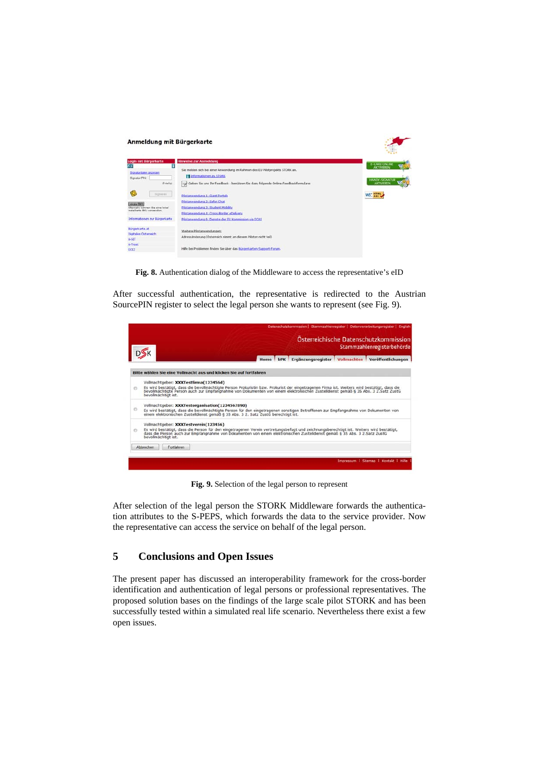

**Fig. 8.** Authentication dialog of the Middleware to access the representative's eID

After successful authentication, the representative is redirected to the Austrian SourcePIN register to select the legal person she wants to represent (see Fig. 9).



**Fig. 9.** Selection of the legal person to represent

After selection of the legal person the STORK Middleware forwards the authentication attributes to the S-PEPS, which forwards the data to the service provider. Now the representative can access the service on behalf of the legal person.

### **5 Conclusions and Open Issues**

The present paper has discussed an interoperability framework for the cross-border identification and authentication of legal persons or professional representatives. The proposed solution bases on the findings of the large scale pilot STORK and has been successfully tested within a simulated real life scenario. Nevertheless there exist a few open issues.